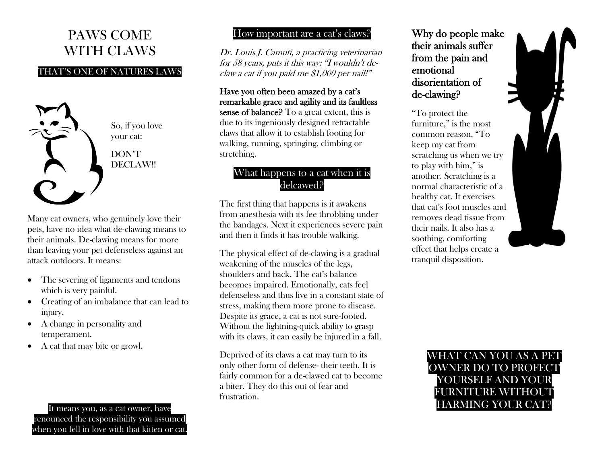# PAWS COME WITH CLAWS

#### THAT'S ONE OF NATURES LAWS



So, if you love your cat:

DON'T DECLAW!!

Many cat owners, who genuinely love their pets, have no idea what de-clawing means to their animals. De-clawing means for more than leaving your pet defenseless against an attack outdoors. It means:

- The severing of ligaments and tendons which is very painful.
- Creating of an imbalance that can lead to injury.
- A change in personality and temperament.
- A cat that may bite or growl.

It means you, as a cat owner, have renounced the responsibility you assumed when you fell in love with that kitten or cat.

#### How important are a cat's claws?

Dr. Louis J. Camuti, a practicing veterinarian for 58 years, puts it this way: "I wouldn't declaw a cat if you paid me \$1,000 per nail!"

### Have you often been amazed by a cat's remarkable grace and agility and its faultless

sense of balance? To a great extent, this is due to its ingeniously designed retractable claws that allow it to establish footing for walking, running, springing, climbing or stretching.

## What happens to a cat when it is delcawed?

The first thing that happens is it awakens from anesthesia with its fee throbbing under the bandages. Next it experiences severe pain and then it finds it has trouble walking.

The physical effect of de-clawing is a gradual weakening of the muscles of the legs, shoulders and back. The cat's balance becomes impaired. Emotionally, cats feel defenseless and thus live in a constant state of stress, making them more prone to disease. Despite its grace, a cat is not sure-footed. Without the lightning-quick ability to grasp with its claws, it can easily be injured in a fall.

Deprived of its claws a cat may turn to its only other form of defense- their teeth. It is fairly common for a de-clawed cat to become a biter. They do this out of fear and frustration.

Why do people make their animals suffer from the pain and emotional disorientation of de-clawing?

"To protect the furniture," is the most common reason. "To keep my cat from scratching us when we try to play with him," is another. Scratching is a normal characteristic of a healthy cat. It exercises that cat's foot muscles and removes dead tissue from their nails. It also has a soothing, comforting effect that helps create a tranquil disposition.



# WHAT CAN YOU AS A PET OWNER DO TO PROFECT YOURSELF AND YOUR FURNITURE WITHOUT HARMING YOUR CAT?